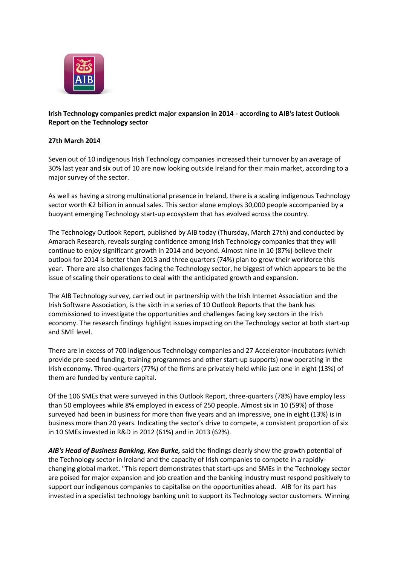

## **Irish Technology companies predict major expansion in 2014 - according to AIB's latest Outlook Report on the Technology sector**

## **27th March 2014**

Seven out of 10 indigenous Irish Technology companies increased their turnover by an average of 30% last year and six out of 10 are now looking outside Ireland for their main market, according to a major survey of the sector.

As well as having a strong multinational presence in Ireland, there is a scaling indigenous Technology sector worth €2 billion in annual sales. This sector alone employs 30,000 people accompanied by a buoyant emerging Technology start-up ecosystem that has evolved across the country.

The Technology Outlook Report, published by AIB today (Thursday, March 27th) and conducted by Amarach Research, reveals surging confidence among Irish Technology companies that they will continue to enjoy significant growth in 2014 and beyond. Almost nine in 10 (87%) believe their outlook for 2014 is better than 2013 and three quarters (74%) plan to grow their workforce this year. There are also challenges facing the Technology sector, he biggest of which appears to be the issue of scaling their operations to deal with the anticipated growth and expansion.

The AIB Technology survey, carried out in partnership with the Irish Internet Association and the Irish Software Association, is the sixth in a series of 10 Outlook Reports that the bank has commissioned to investigate the opportunities and challenges facing key sectors in the Irish economy. The research findings highlight issues impacting on the Technology sector at both start-up and SME level.

There are in excess of 700 indigenous Technology companies and 27 Accelerator-Incubators (which provide pre-seed funding, training programmes and other start-up supports) now operating in the Irish economy. Three-quarters (77%) of the firms are privately held while just one in eight (13%) of them are funded by venture capital.

Of the 106 SMEs that were surveyed in this Outlook Report, three-quarters (78%) have employ less than 50 employees while 8% employed in excess of 250 people. Almost six in 10 (59%) of those surveyed had been in business for more than five years and an impressive, one in eight (13%) is in business more than 20 years. Indicating the sector's drive to compete, a consistent proportion of six in 10 SMEs invested in R&D in 2012 (61%) and in 2013 (62%).

*AIB's Head of Business Banking, Ken Burke,* said the findings clearly show the growth potential of the Technology sector in Ireland and the capacity of Irish companies to compete in a rapidlychanging global market. "This report demonstrates that start-ups and SMEs in the Technology sector are poised for major expansion and job creation and the banking industry must respond positively to support our indigenous companies to capitalise on the opportunities ahead. AIB for its part has invested in a specialist technology banking unit to support its Technology sector customers. Winning